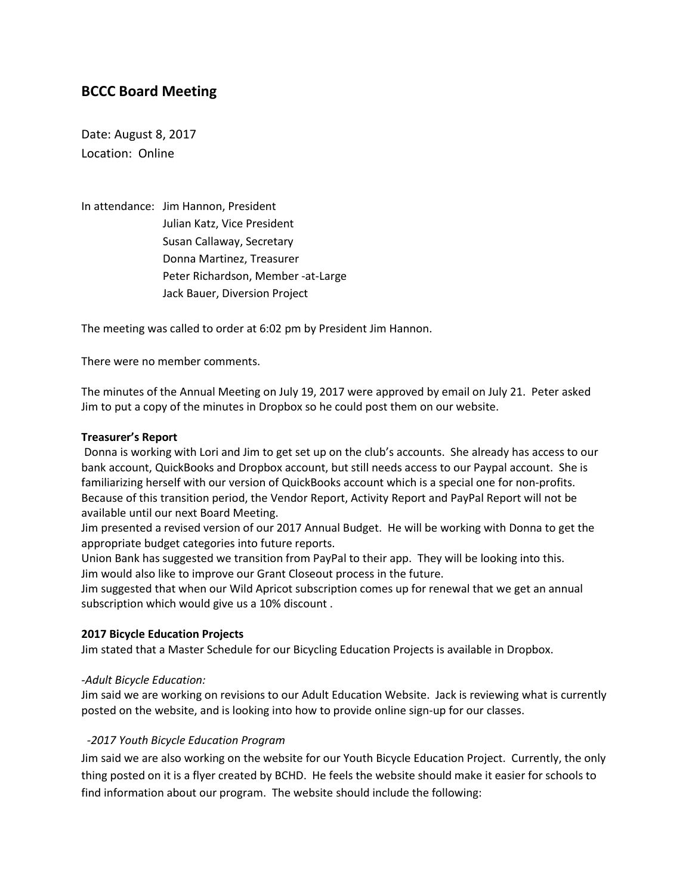# **BCCC Board Meeting**

Date: August 8, 2017 Location: Online

In attendance: Jim Hannon, President Julian Katz, Vice President Susan Callaway, Secretary Donna Martinez, Treasurer Peter Richardson, Member -at-Large Jack Bauer, Diversion Project

The meeting was called to order at 6:02 pm by President Jim Hannon.

There were no member comments.

The minutes of the Annual Meeting on July 19, 2017 were approved by email on July 21. Peter asked Jim to put a copy of the minutes in Dropbox so he could post them on our website.

### **Treasurer's Report**

Donna is working with Lori and Jim to get set up on the club's accounts. She already has access to our bank account, QuickBooks and Dropbox account, but still needs access to our Paypal account. She is familiarizing herself with our version of QuickBooks account which is a special one for non-profits. Because of this transition period, the Vendor Report, Activity Report and PayPal Report will not be available until our next Board Meeting.

Jim presented a revised version of our 2017 Annual Budget. He will be working with Donna to get the appropriate budget categories into future reports.

Union Bank has suggested we transition from PayPal to their app. They will be looking into this. Jim would also like to improve our Grant Closeout process in the future.

Jim suggested that when our Wild Apricot subscription comes up for renewal that we get an annual subscription which would give us a 10% discount .

### **2017 Bicycle Education Projects**

Jim stated that a Master Schedule for our Bicycling Education Projects is available in Dropbox.

### *-Adult Bicycle Education:*

Jim said we are working on revisions to our Adult Education Website. Jack is reviewing what is currently posted on the website, and is looking into how to provide online sign-up for our classes.

### *-2017 Youth Bicycle Education Program*

Jim said we are also working on the website for our Youth Bicycle Education Project. Currently, the only thing posted on it is a flyer created by BCHD. He feels the website should make it easier for schools to find information about our program. The website should include the following: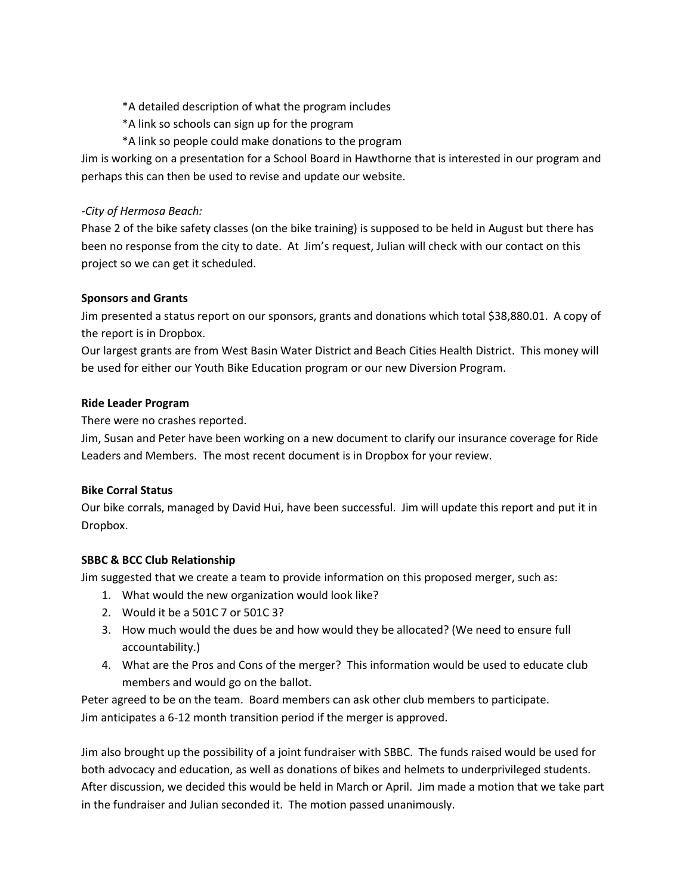- \*A detailed description of what the program includes
- \*A link so schools can sign up for the program
- \*A link so people could make donations to the program

Jim is working on a presentation for a School Board in Hawthorne that is interested in our program and perhaps this can then be used to revise and update our website.

### *-City of Hermosa Beach:*

Phase 2 of the bike safety classes (on the bike training) is supposed to be held in August but there has been no response from the city to date. At Jim's request, Julian will check with our contact on this project so we can get it scheduled.

### **Sponsors and Grants**

Jim presented a status report on our sponsors, grants and donations which total \$38,880.01. A copy of the report is in Dropbox.

Our largest grants are from West Basin Water District and Beach Cities Health District. This money will be used for either our Youth Bike Education program or our new Diversion Program.

### **Ride Leader Program**

There were no crashes reported.

Jim, Susan and Peter have been working on a new document to clarify our insurance coverage for Ride Leaders and Members. The most recent document is in Dropbox for your review.

## **Bike Corral Status**

Our bike corrals, managed by David Hui, have been successful. Jim will update this report and put it in Dropbox.

### **SBBC & BCC Club Relationship**

Jim suggested that we create a team to provide information on this proposed merger, such as:

- 1. What would the new organization would look like?
- 2. Would it be a 501C 7 or 501C 3?
- 3. How much would the dues be and how would they be allocated? (We need to ensure full accountability.)
- 4. What are the Pros and Cons of the merger? This information would be used to educate club members and would go on the ballot.

Peter agreed to be on the team. Board members can ask other club members to participate. Jim anticipates a 6-12 month transition period if the merger is approved.

Jim also brought up the possibility of a joint fundraiser with SBBC. The funds raised would be used for both advocacy and education, as well as donations of bikes and helmets to underprivileged students. After discussion, we decided this would be held in March or April. Jim made a motion that we take part in the fundraiser and Julian seconded it. The motion passed unanimously.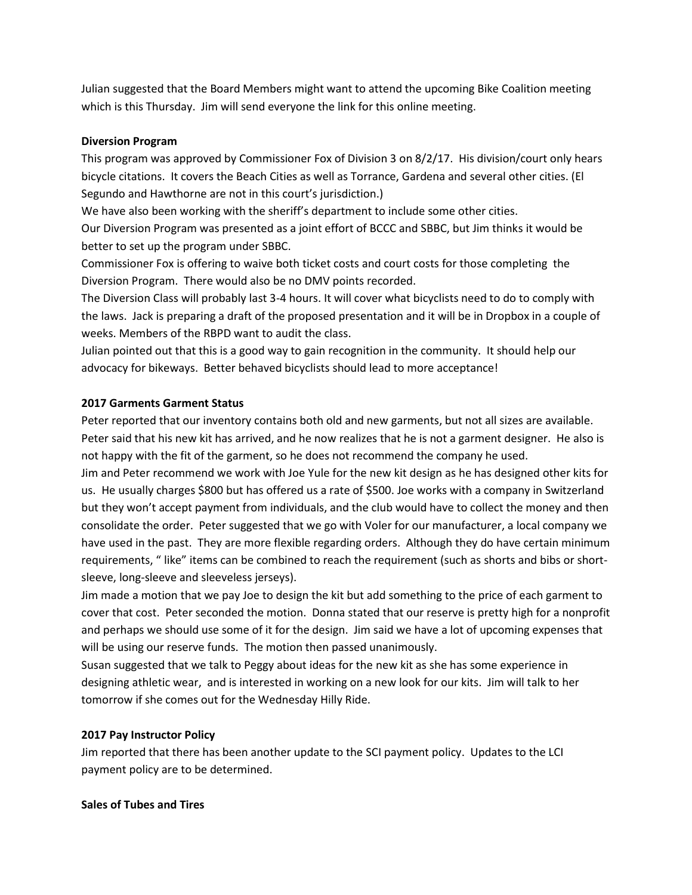Julian suggested that the Board Members might want to attend the upcoming Bike Coalition meeting which is this Thursday. Jim will send everyone the link for this online meeting.

#### **Diversion Program**

This program was approved by Commissioner Fox of Division 3 on 8/2/17. His division/court only hears bicycle citations. It covers the Beach Cities as well as Torrance, Gardena and several other cities. (El Segundo and Hawthorne are not in this court's jurisdiction.)

We have also been working with the sheriff's department to include some other cities.

Our Diversion Program was presented as a joint effort of BCCC and SBBC, but Jim thinks it would be better to set up the program under SBBC.

Commissioner Fox is offering to waive both ticket costs and court costs for those completing the Diversion Program. There would also be no DMV points recorded.

The Diversion Class will probably last 3-4 hours. It will cover what bicyclists need to do to comply with the laws. Jack is preparing a draft of the proposed presentation and it will be in Dropbox in a couple of weeks. Members of the RBPD want to audit the class.

Julian pointed out that this is a good way to gain recognition in the community. It should help our advocacy for bikeways. Better behaved bicyclists should lead to more acceptance!

### **2017 Garments Garment Status**

Peter reported that our inventory contains both old and new garments, but not all sizes are available. Peter said that his new kit has arrived, and he now realizes that he is not a garment designer. He also is not happy with the fit of the garment, so he does not recommend the company he used.

Jim and Peter recommend we work with Joe Yule for the new kit design as he has designed other kits for us. He usually charges \$800 but has offered us a rate of \$500. Joe works with a company in Switzerland but they won't accept payment from individuals, and the club would have to collect the money and then consolidate the order. Peter suggested that we go with Voler for our manufacturer, a local company we have used in the past. They are more flexible regarding orders. Although they do have certain minimum requirements, " like" items can be combined to reach the requirement (such as shorts and bibs or shortsleeve, long-sleeve and sleeveless jerseys).

Jim made a motion that we pay Joe to design the kit but add something to the price of each garment to cover that cost. Peter seconded the motion. Donna stated that our reserve is pretty high for a nonprofit and perhaps we should use some of it for the design. Jim said we have a lot of upcoming expenses that will be using our reserve funds. The motion then passed unanimously.

Susan suggested that we talk to Peggy about ideas for the new kit as she has some experience in designing athletic wear, and is interested in working on a new look for our kits. Jim will talk to her tomorrow if she comes out for the Wednesday Hilly Ride.

### **2017 Pay Instructor Policy**

Jim reported that there has been another update to the SCI payment policy. Updates to the LCI payment policy are to be determined.

#### **Sales of Tubes and Tires**